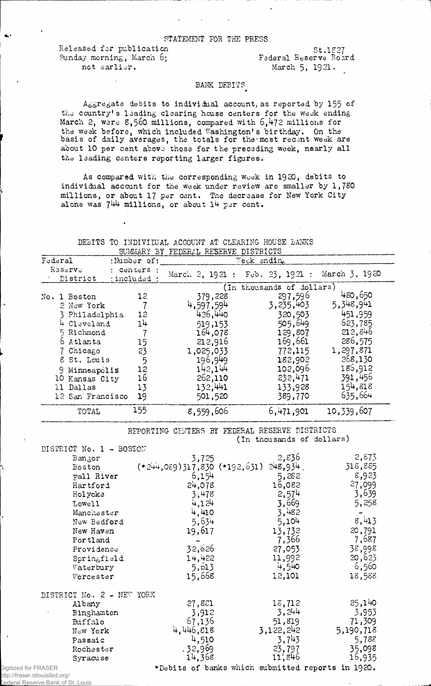Released for publication St.1227<br>Sunday morning, March 6; Federal Reserve Board Sunday morning, March 6;<br>not earlier.

March 5, 1921.

## BANK DEBITS

Aggregate debits to individual account, as reported by 155 of the country's leading clearing house centers for the week ending March 2, were 8,560 millions, compared with 6,472 millions for the week before, which included Washington's birthday. On the basis of daily averages, the totals for the most recent week are about 10 per cent above those for the preceding week, nearly all the leading centers reporting larger figures.

As compared with the corresponding week in 1920, debits to individual account for the week under review are smaller by 1,780 millions, or about 17 per cent. Tne decrease for New York City alone was 744 millions, or about 14 per cent.

|  |  | DEBITS TO INDIVILUAL ACCOUNT AT CLEARING HOUSE BANKS |  |  |  |
|--|--|------------------------------------------------------|--|--|--|
|  |  | SUMMARY BY FEDERAL RESERVE DISTRICTS                 |  |  |  |

| Federal |                                                                                                                                                       | :Number of:                                 | Weck ending                                                                                                    |                                                                                                              |                                                                                                                |  |  |
|---------|-------------------------------------------------------------------------------------------------------------------------------------------------------|---------------------------------------------|----------------------------------------------------------------------------------------------------------------|--------------------------------------------------------------------------------------------------------------|----------------------------------------------------------------------------------------------------------------|--|--|
|         | Reserve<br>District                                                                                                                                   | : centers :<br>: included :                 | March 2, 1921 : Feb. 23, 1921 :                                                                                |                                                                                                              | March 3, 1920                                                                                                  |  |  |
|         |                                                                                                                                                       |                                             | (In thousands of dollars)                                                                                      |                                                                                                              |                                                                                                                |  |  |
|         | No. 1 Boston<br>2 New York<br>3 Philadelphia<br>4 Cleveland<br>5 Richmond<br>6 Atlanta<br>7 Chicago<br>8 St. Louis<br>9 Minnsapolis<br>10 Kansas City | 12<br>12<br>14<br>15<br>23<br>5<br>12<br>16 | 379,228<br>4,597,594<br>426,440<br>519,153<br>164,078<br>212,916<br>1,025,033<br>196,949<br>142,144<br>262,110 | 297,596<br>3,235,403<br>320,503<br>505,649<br>129,807<br>169,661<br>772,115<br>182,902<br>102,096<br>232,471 | 450,650<br>5,348,941<br>451,959<br>623,785<br>212,846<br>286,575<br>1,297,871<br>268,130<br>186,912<br>391,456 |  |  |
|         | 11 Dallas<br>12 San Francisco                                                                                                                         | 13<br>19                                    | 132,441<br>501,520                                                                                             | 133,928<br>389,770                                                                                           | 154,818<br>635,664                                                                                             |  |  |
|         | TOTAL                                                                                                                                                 | 155                                         | 8,559,606                                                                                                      | 6,471,901                                                                                                    | 10, 339, 607                                                                                                   |  |  |

## REPORTING CENTERS BY FEDERAL RESERVE DISTRICTS

(In thousands of dollars)

|                      | DISTRICT No. 1 - BOSTON   |                                  |                                                   |           |
|----------------------|---------------------------|----------------------------------|---------------------------------------------------|-----------|
|                      | Bangor                    | 3,725                            | 2,836                                             | 2,873     |
|                      | Boston                    | $(*244,089)317,830$ $(*192,631)$ | 248,934.                                          | 318,885   |
|                      | Fall River                | 6,154                            | 5,282                                             | 8,923     |
|                      | Hartford                  | 24,078                           | 16,082                                            | 27,099    |
|                      | Holyoke                   | 3,478                            | 2,574                                             | 3,639     |
|                      | Lowell                    | 4,124                            | 3,669                                             | 5,258     |
|                      | Manchester                | 4,410                            | 3,482                                             |           |
|                      | New Bedford               | 5,634                            | 5,104                                             | 8,413     |
|                      | New Haven                 | 19,617                           | 13,732                                            | 20,791    |
|                      | Portland                  |                                  | 7,366                                             | 7,687     |
|                      | Providence                | 32,626                           | 27,053                                            | 38,998    |
|                      | Springfield               | 14,422                           | 11,992                                            | 20,623    |
|                      | Waterbury                 | 5, 613                           | 4,540                                             | 6,560     |
|                      | Worcester                 | 15,668                           | 12,101                                            | 18,588    |
|                      | DISTRICT No. 2 - NEW YORK |                                  |                                                   |           |
|                      | Albany                    | 27,881                           | 15,712                                            | 25,140    |
|                      | Binghamton                | 3,912                            | 3,244                                             | 3,953     |
|                      | Buffalo                   | 67,136                           | 51,819                                            | 71,309    |
|                      | New York                  | 4,446,818                        | 3,122,242                                         | 5,190,718 |
|                      | Passaic                   | 4,510                            | 3,743                                             | 5,782     |
|                      | Rochester                 | .32,969                          | 23,797                                            | 35,098    |
|                      | Syracuse                  | 14,368                           | 11,846                                            | 16,935    |
| Digitized for FRASER |                           |                                  | *Debits of banks which submitted reports in 1920. |           |

ittp://fraser.stlouisfed.org/<br><u>:ederal Res</u>erve Bank of S **Bank**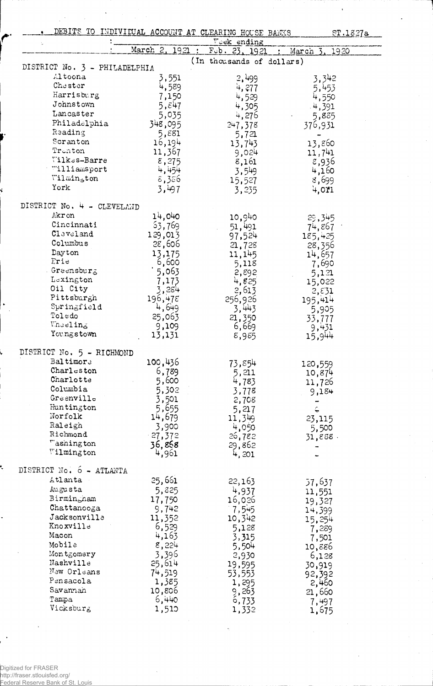|                               | DEBITS TO INDIVIDUAL ACCOUNT AT CLEARING HOUSE BANKS |                           | ST.1827a        |
|-------------------------------|------------------------------------------------------|---------------------------|-----------------|
|                               |                                                      | Veck ending               |                 |
|                               | March 2, 1921                                        | Feb. 23, 1921             | March<br>1920   |
| DISTRICT No. 3 - PHILADELPHIA |                                                      | (In thousands of dollars) |                 |
| Altoona                       |                                                      |                           |                 |
| Chester                       | 3,551                                                | 2,499                     | 3,342           |
| Harrisburg                    | 4,589                                                | 4,277                     | 5,453           |
| Johnstown                     | 7,150                                                | 4,529                     | 4,550           |
|                               | 5, $\tilde{\epsilon}$ 47                             | 4,305                     | 4,391           |
| Lancaster                     | 5,035                                                | 4,276                     | 5,885           |
| Philadelphia                  | 348,095                                              | 247,378                   | 376,931         |
| Reading                       | 5,881                                                | 5,721                     |                 |
| Scranton                      | 16,194                                               | 13,743                    | 13,860          |
| Trenton                       | 11,367                                               | 9,024                     | 11,741          |
| Wilkes-Barre                  | 8,275                                                | 8,161                     | 8,936           |
| "illiamsport                  | 4,454                                                | 3,549                     | 4,160           |
| Wilmin <sub>ston</sub>        | 8,356                                                | 15,527                    | 8,699           |
| York                          | 3,497                                                | 3,235                     | 4,011           |
| DISTRICT No. 4 - CLEVELAND    |                                                      |                           |                 |
| Akr on                        | 14,040                                               | 10,940                    | 29,345          |
| Cincinnati                    | 53,769                                               | 51,491                    | 74,867          |
| Claveland                     | 129,013                                              | 97,524                    | 185,425         |
| Columbus                      | 28,606                                               | 21,728                    | 28,356          |
| Dayton                        | 13,175                                               | 11, 145                   | 14,657          |
| Frie                          | 6,600                                                | 5,118                     | 7,690           |
| . Greensburg                  | 5,063                                                | 2,892                     | 5,121           |
| Lexington                     | 7,173                                                | 4,825                     | 15,022          |
| Oil City                      | 3,284                                                | 2,613                     |                 |
| Pittsburgh                    | 196,478                                              | 256,926                   | 2,51<br>195,414 |
| Springfield                   | 4,649                                                | 3,443                     |                 |
| Toledo                        | 25,063                                               | 21,350                    | 5,905           |
| Vneeling                      | 9,109                                                | 6,669                     | 33,777          |
| Youngstown                    | 13,131                                               | 8,985                     | 9,431<br>15,944 |
| DISTRICT No. 5 - RICHMOND     |                                                      |                           |                 |
| Baltimore                     |                                                      |                           |                 |
|                               | 100,436                                              | 73,854                    | 120,559         |
| Charleston                    | 6,789                                                | 5,211                     | 10,874          |
| Charlotte                     | 5,600                                                | 4,783                     | 11,726          |
| Columbia                      | 5,302                                                | 3,778                     | 9,184           |
| Greenville                    | 3,501                                                | 2,708                     |                 |
| Huntington                    | 5,655                                                | 5,217                     | Ć               |
| Norfolk                       | 14,679                                               | 11,349                    | 23,115          |
| Raleigh                       | 3,900                                                | 4,050                     | 5,500           |
| Richmond                      | $-27,372$                                            | 26,782                    | $31,888$ .      |
| "ashington<br>Wilmington      | 36,858<br>4,961                                      | 29,862                    |                 |
|                               |                                                      | 4,201                     |                 |
| DISTRICT No. 6 - ATLANTA      |                                                      |                           |                 |
| Atlanta                       | 25,661                                               | 22,163                    | 57,637          |
| Augusta                       | 5,825                                                | 4,937                     | 11,551          |
| Birmingham                    | 17,750                                               | 16,026                    | 19,327          |
| Chattanooga                   | 9,742                                                | 7,545                     | 14,399          |
| Jacksonville                  | 11,352                                               | 10,342                    | 15,254          |
| Knoxville                     | 6,529                                                | 5,128                     | 7,289           |
| Macon                         | 4,163                                                | 3,315                     | 7,501           |
| Mobile                        | 8,224                                                | 5,504                     | 10,886          |
| Montgomery                    | 3,396                                                | 2,930                     | 6,128           |
| Nashville                     | 25,614                                               | 19,595                    | 30,919          |
| New Orleans                   | 74,519                                               | 53,553                    | 92,392          |
| Pensacola                     | 1,385                                                | 1,295                     | 2,460           |
| Savannah                      | 10,806                                               | 9,263                     | 21,660          |
| Tampa                         | 6,440                                                | 6,733                     | 7,497           |
| Vicksburg                     | 1,510                                                | 1,332                     | 1,675           |

ï

 $\ddot{\phantom{0}}$ 

Digitized for FRASER http://fraser.stlouisfed.org/ Federal Reserve Bank of St. Louis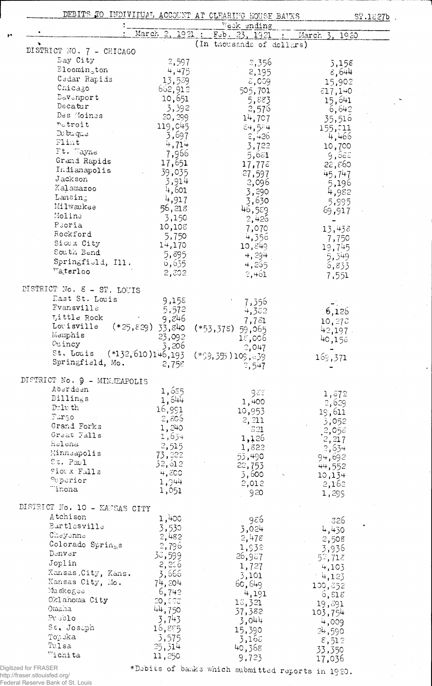|                                                 |                       | DEBITS TO INDIVIDUAL ACCOUNT AT CLEARING HOUSE BANKS                    | ST.1827b                   |
|-------------------------------------------------|-----------------------|-------------------------------------------------------------------------|----------------------------|
|                                                 | March 2, 1921 :       | Weck ending                                                             |                            |
|                                                 |                       | $F$ <sub>c</sub> b. 23, 1921<br>$\sim 100$<br>(In thousands of dollars) | March<br>1920              |
| DISTRICT NO. 7 - CHICAGO                        |                       |                                                                         |                            |
| Bay City                                        | 2,597                 | 2,356                                                                   | 3,158                      |
| $\mathbb{B}$ loomington                         | 4,475                 | 2,195                                                                   | 8,644                      |
| Cedar Rapids                                    | 13,539                | $z,$ 009                                                                |                            |
| Chicago                                         | 662,912               |                                                                         | 15,902                     |
| Davenport                                       | 10,651                | 505,701                                                                 | \$17,140                   |
| Decatur                                         | 3,392                 | 5,883                                                                   | 15,641                     |
| Des Moines                                      | 20,299                | 2,576                                                                   | 6,642                      |
| netroit                                         |                       | 14,707                                                                  | 35,516                     |
| Dubuque                                         | 119,045               | 84,584                                                                  | 155,011                    |
| Flint                                           | 3,697                 | 2,426                                                                   | 4,466                      |
| Ft. Wayne                                       | 4,714                 | 3,722                                                                   | 10,700                     |
| Grand Rapids                                    | 7,966                 | 5,681                                                                   | 9,688                      |
| Indianapolis                                    | 17,651                | $17,77$ $\tilde{c}$                                                     | 22,860                     |
| Jackson                                         | 39,035                | 27,597                                                                  | 45,747                     |
| Kalamazoo                                       | 3,914                 | 2,096                                                                   | 5,196                      |
| Lansing                                         | 4,601                 | 3,290                                                                   | 4,982                      |
|                                                 | 4,917                 | 3,630                                                                   | 5,995                      |
| Milwaukee                                       | 56,218                | 46,589                                                                  | 69,917                     |
| Moline                                          | 3,150                 | 2,426                                                                   |                            |
| Peoria                                          | 10,108                | 7,070                                                                   | 13,438                     |
| Rockford                                        | 5,750                 | 4,356                                                                   | 7,750                      |
| Sioux City                                      | 14,170                | 10,849                                                                  | 19,745                     |
| South Bend                                      | 5,895                 | 4,294                                                                   | 5,349                      |
| Springfiuld, Ill.                               | 6,635                 | 4,255                                                                   | 5,833                      |
| Waterloo                                        | 2,302                 | $2, +61$                                                                | 7,551                      |
|                                                 |                       |                                                                         |                            |
| DISTRICT No. 8 - ST. LOUIS<br>East St. Louis    |                       |                                                                         |                            |
| Evansville                                      | 9,158                 | 7,356                                                                   |                            |
|                                                 | 5,572                 | 4,382                                                                   | 6,126                      |
| Little Rock                                     | 9,846                 | 7,731                                                                   | 10,273                     |
| Louisville                                      | $(*25,829)$<br>33,840 | $(*53,378)$<br>59,065                                                   | $42,197$ .                 |
| Memphis                                         | 23,092                | 18,006                                                                  | 40,158                     |
| Ou incy                                         | 3,206                 | 2,047                                                                   |                            |
| St. Louis (*132,610)146,193<br>Springfield, Mo. |                       | $(*59,355)105,839$                                                      | 169,371                    |
| DISTRICT No. 9 - MINJEAPOLIS                    | 2,758                 | 2,547                                                                   |                            |
| Aberdeen                                        | 1,655                 |                                                                         |                            |
| Billings                                        |                       | 988                                                                     | 1,372                      |
| Dalv th                                         | 1,644                 | 1,400                                                                   | 2,629                      |
| Fargo                                           | 16,991                | 10,953                                                                  | 19,611                     |
| Grand Forks                                     | 2,805                 | 2, 211                                                                  | 3,052                      |
|                                                 | 1,240                 | 321                                                                     | 2,058                      |
| Great Falls                                     | 1,634                 | 1,126                                                                   | 2,217                      |
| Helena                                          | 2,515                 | 1,822                                                                   | 2,634                      |
| Minneapolis                                     | 73,222                | 53,490                                                                  | 94,692                     |
| St. Paul                                        | 32,012                | 22, 753                                                                 | 44,552                     |
| Fior x Falls                                    | 4,800                 | 5,600                                                                   | 10,134                     |
| Superior<br>Tinona                              | 1,944                 | 2,012                                                                   | 2,162                      |
|                                                 | 1,051                 | 920                                                                     | 1,299                      |
| DISTRICT No. 10 - KANSAS CITY                   |                       |                                                                         |                            |
| Atchison                                        | 1,400                 | 986                                                                     | 326                        |
| Bartlesville                                    | 3,530                 | 3,024                                                                   | 4,430                      |
| Cheyenne                                        | 2,482                 | 2,478                                                                   | 2,508                      |
| Colorado Springs                                | 2,796                 | 1,932                                                                   | 3,936                      |
| $\mathtt{D} \mathtt{env} \mathtt{er}$           | 38,599                | 26,967                                                                  | $5^{\circ}$ , 71 $\bar{z}$ |
| Joplin                                          | 2,256                 | 1,727                                                                   | 4,103                      |
| Kansas, City, Kans.                             | 3,666                 | 3,101                                                                   |                            |
| Kansas City, Mo.                                | 74,204                | 60,649                                                                  | $-4,123$                   |
| Muskogee                                        | 6,742                 |                                                                         | 100,852                    |
| Oklahoma City                                   | 20, 000               | 4,191                                                                   | 6,518                      |
| Omaha                                           | 44,750                | 15,321                                                                  | 19,391                     |
| Pueblo                                          | 3,743                 | 37,382                                                                  | 103,754                    |
| St. Joseph                                      |                       | 3,044                                                                   | 4,009                      |
| Topeka                                          | 16,885                | 15,390                                                                  | 24,590                     |
| Tulsa                                           | 3,575                 | 3,165                                                                   | 8,512                      |
| $\nabla$ ichita                                 | 25,314                | 40,368                                                                  | 33,350                     |
|                                                 | 11,250                | 9,723                                                                   | 17,036                     |

 $\mathcal{A}$ 

 $\ddot{\phantom{1}}$ 

Digitized for FRASER<br>http://fraser.stlouisfed.org/<br>Federal Reserve Bank of St. Louis

\*Debits of banks which submitted reports in 1920.